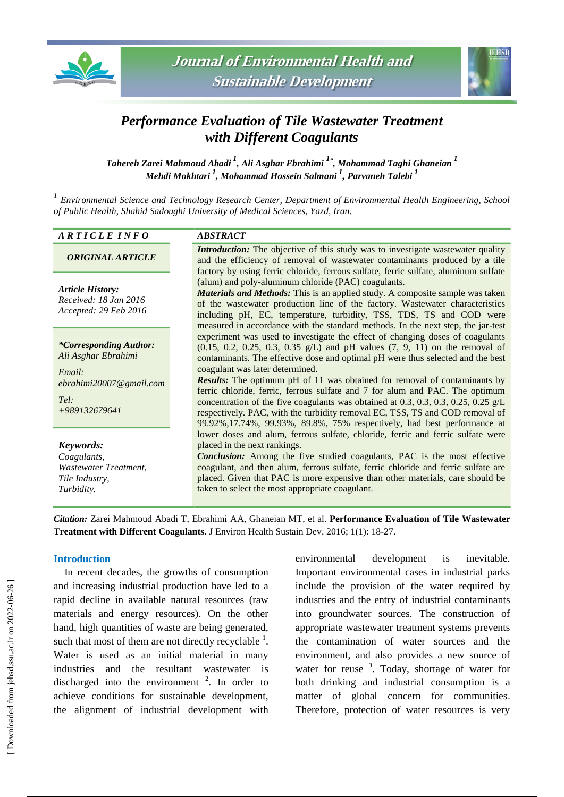



# *Performance Evaluation of Tile Wastewater Treatment with Different Coagulants*

*Tahereh Zarei Mahmoud Abadi <sup>1</sup> , Ali Asghar Ebrahimi <sup>1</sup>\* , Mohammad Taghi Ghaneian <sup>1</sup> Mehdi Mokhtari <sup>1</sup> , Mohammad Hossein Salmani <sup>1</sup> , Parvaneh Talebi <sup>1</sup>*

*1 Environmental Science and Technology Research Center, Department of Environmental Health Engineering, School of Public Health, Shahid Sadoughi University of Medical Sciences, Yazd, Iran.*

## *A R T I C L E I N F O ABSTRACT*

# *ORIGINAL ARTICLE*

*Article History: Received: 18 Jan 2016 Accepted: 29 Feb 2016*

*\*Corresponding Author: Ali Asghar Ebrahimi*

*Email: ebrahimi20007@gmail.com*

*Tel: +989132679641*

*Keywords: Coagulants, Wastewater Treatment, Tile Industry, Turbidity.*

*Introduction:* The objective of this study was to investigate wastewater quality and the efficiency of removal of wastewater contaminants produced by a tile factory by using ferric chloride, ferrous sulfate, ferric sulfate, aluminum sulfate (alum) and poly-aluminum chloride (PAC) coagulants.

*Materials and Methods:* This is an applied study. A composite sample was taken of the wastewater production line of the factory. Wastewater characteristics including pH, EC, temperature, turbidity, TSS, TDS, TS and COD were measured in accordance with the standard methods. In the next step, the jar-test experiment was used to investigate the effect of changing doses of coagulants  $(0.15, 0.2, 0.25, 0.3, 0.35 \text{ g/L})$  and pH values  $(7, 9, 11)$  on the removal of contaminants. The effective dose and optimal pH were thus selected and the best coagulant was later determined.

*Results:* The optimum pH of 11 was obtained for removal of contaminants by ferric chloride, ferric, ferrous sulfate and 7 for alum and PAC. The optimum concentration of the five coagulants was obtained at 0.3, 0.3, 0.3, 0.25, 0.25 g/L respectively. PAC, with the turbidity removal EC, TSS, TS and COD removal of 99.92%,17.74%, 99.93%, 89.8%, 75% respectively, had best performance at lower doses and alum, ferrous sulfate, chloride, ferric and ferric sulfate were placed in the next rankings.

*Conclusion:* Among the five studied coagulants, PAC is the most effective coagulant, and then alum, ferrous sulfate, ferric chloride and ferric sulfate are placed. Given that PAC is more expensive than other materials, care should be taken to select the most appropriate coagulant.

*Citation:* Zarei Mahmoud Abadi T, Ebrahimi AA, Ghaneian MT, et al. **Performance Evaluation of Tile Wastewater Treatment with Different Coagulants.** J Environ Health Sustain Dev. 2016; 1(1): 18-27.

## **Introduction**

In recent decades, the growths of consumption and increasing industrial production have led to a rapid decline in available natural resources (raw materials and energy resources). On the other hand, high quantities of waste are being generated, such that most of them are not directly recyclable  $<sup>1</sup>$ .</sup> Water is used as an initial material in many industries and the resultant wastewater is discharged into the environment  $2$ . In order to achieve conditions for sustainable development, the alignment of industrial development with

environmental development is inevitable. Important environmental cases in industrial parks include the provision of the water required by industries and the entry of industrial contaminants into groundwater sources. The construction of appropriate wastewater treatment systems prevents the contamination of water sources and the environment, and also provides a new source of water for reuse  $3$ . Today, shortage of water for both drinking and industrial consumption is a matter of global concern for communities. Therefore, protection of water resources is very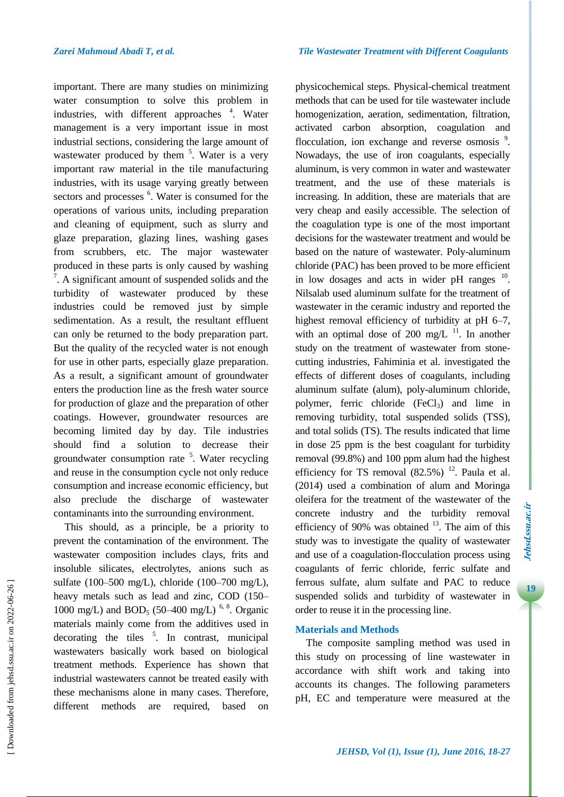important. There are many studies on minimizing water consumption to solve this problem in industries, with different approaches <sup>4</sup>. Water management is a very important issue in most industrial sections, considering the large amount of wastewater produced by them  $5$ . Water is a very important raw material in the tile manufacturing industries, with its usage varying greatly between sectors and processes <sup>6</sup>. Water is consumed for the operations of various units, including preparation and cleaning of equipment, such as slurry and glaze preparation, glazing lines, washing gases from scrubbers, etc. The major wastewater produced in these parts is only caused by washing  $\frac{7}{1}$ . A significant amount of suspended solids and the turbidity of wastewater produced by these industries could be removed just by simple sedimentation. As a result, the resultant effluent can only be returned to the body preparation part. But the quality of the recycled water is not enough for use in other parts, especially glaze preparation. As a result, a significant amount of groundwater enters the production line as the fresh water source for production of glaze and the preparation of other coatings. However, groundwater resources are becoming limited day by day. Tile industries should find a solution to decrease their groundwater consumption rate <sup>5</sup>. Water recycling and reuse in the consumption cycle not only reduce consumption and increase economic efficiency, but also preclude the discharge of wastewater contaminants into the surrounding environment.

This should, as a principle, be a priority to prevent the contamination of the environment. The wastewater composition includes clays, frits and insoluble silicates, electrolytes, anions such as sulfate (100–500 mg/L), chloride (100–700 mg/L), heavy metals such as lead and zinc, COD (150– 1000 mg/L) and BOD<sub>5</sub> (50–400 mg/L)<sup>6, 8</sup>. Organic materials mainly come from the additives used in decorating the tiles  $\frac{5}{1}$ . In contrast, municipal wastewaters basically work based on biological treatment methods. Experience has shown that industrial wastewaters cannot be treated easily with these mechanisms alone in many cases. Therefore, different methods are required, based on

physicochemical steps. Physical-chemical treatment methods that can be used for tile wastewater include homogenization, aeration, sedimentation, filtration, activated carbon absorption, coagulation and flocculation, ion exchange and reverse osmosis<sup>9</sup>. Nowadays, the use of iron coagulants, especially aluminum, is very common in water and wastewater treatment, and the use of these materials is increasing. In addition, these are materials that are very cheap and easily accessible. The selection of the coagulation type is one of the most important decisions for the wastewater treatment and would be based on the nature of wastewater. Poly-aluminum chloride (PAC) has been proved to be more efficient in low dosages and acts in wider pH ranges  $10$ . Nilsalab used aluminum sulfate for the treatment of wastewater in the ceramic industry and reported the highest removal efficiency of turbidity at pH 6–7, with an optimal dose of 200 mg/L  $^{11}$ . In another study on the treatment of wastewater from stonecutting industries, Fahiminia et al. investigated the effects of different doses of coagulants, including aluminum sulfate (alum), poly-aluminum chloride, polymer, ferric chloride  $(FeCl_3)$  and lime in removing turbidity, total suspended solids (TSS), and total solids (TS). The results indicated that lime in dose 25 ppm is the best coagulant for turbidity removal (99.8%) and 100 ppm alum had the highest efficiency for TS removal  $(82.5%)$ <sup>12</sup>. Paula et al. (2014) used a combination of alum and Moringa oleifera for the treatment of the wastewater of the concrete industry and the turbidity removal efficiency of  $90\%$  was obtained  $^{13}$ . The aim of this study was to investigate the quality of wastewater and use of a coagulation-flocculation process using coagulants of ferric chloride, ferric sulfate and ferrous sulfate, alum sulfate and PAC to reduce suspended solids and turbidity of wastewater in order to reuse it in the processing line.

# **Materials and Methods**

The composite sampling method was used in this study on processing of line wastewater in accordance with shift work and taking into accounts its changes. The following parameters pH, EC and temperature were measured at the **19Jehsd.ssu.ac.ir**

19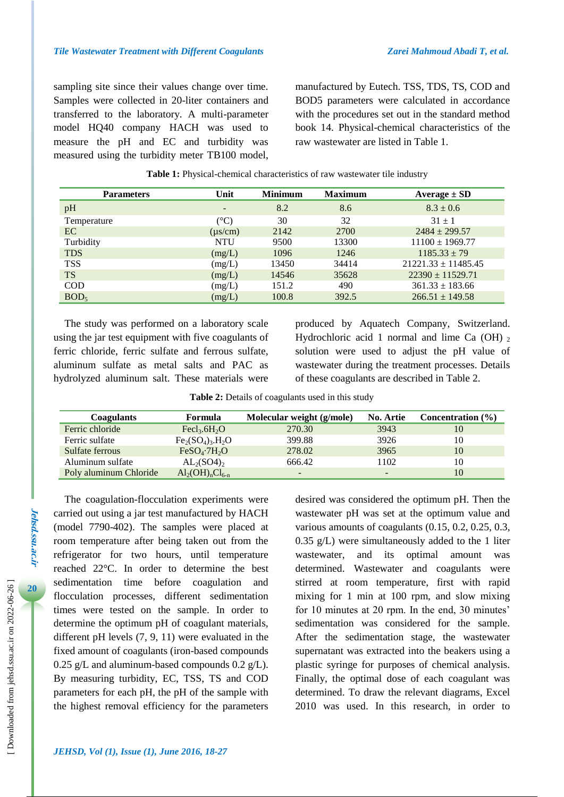sampling site since their values change over time. Samples were collected in 20-liter containers and transferred to the laboratory. A multi-parameter model HQ40 company HACH was used to measure the pH and EC and turbidity was measured using the turbidity meter TB100 model, manufactured by Eutech. TSS, TDS, TS, COD and BOD5 parameters were calculated in accordance with the procedures set out in the standard method book 14. Physical-chemical characteristics of the raw wastewater are listed in Table 1.

| <b>Parameters</b> | Unit            | <b>Minimum</b> | <b>Maximum</b> | Average $\pm$ SD        |
|-------------------|-----------------|----------------|----------------|-------------------------|
| pH                | $\qquad \qquad$ | 8.2            | 8.6            | $8.3 \pm 0.6$           |
| Temperature       | $(^\circ C)$    | 30             | 32             | $31 + 1$                |
| EC                | $(\mu s/cm)$    | 2142           | 2700           | $2484 \pm 299.57$       |
| Turbidity         | <b>NTU</b>      | 9500           | 13300          | $11100 \pm 1969.77$     |
| <b>TDS</b>        | (mg/L)          | 1096           | 1246           | $1185.33 \pm 79$        |
| <b>TSS</b>        | (mg/L)          | 13450          | 34414          | $21221.33 \pm 11485.45$ |
| <b>TS</b>         | (mg/L)          | 14546          | 35628          | $22390 \pm 11529.71$    |
| <b>COD</b>        | (mg/L)          | 151.2          | 490            | $361.33 \pm 183.66$     |
| BOD <sub>5</sub>  | (mg/L)          | 100.8          | 392.5          | $266.51 \pm 149.58$     |

#### **Table 1:** Physical-chemical characteristics of raw wastewater tile industry

The study was performed on a laboratory scale using the jar test equipment with five coagulants of ferric chloride, ferric sulfate and ferrous sulfate, aluminum sulfate as metal salts and PAC as hydrolyzed aluminum salt. These materials were produced by Aquatech Company, Switzerland. Hydrochloric acid 1 normal and lime Ca  $(OH)$ , solution were used to adjust the pH value of wastewater during the treatment processes. Details of these coagulants are described in Table 2.

|  |  |  | Table 2: Details of coagulants used in this study |  |  |  |
|--|--|--|---------------------------------------------------|--|--|--|
|--|--|--|---------------------------------------------------|--|--|--|

| <b>Coagulants</b>      | <b>Formula</b>                            | Molecular weight (g/mole) | No. Artie | Concentration $(\% )$ |
|------------------------|-------------------------------------------|---------------------------|-----------|-----------------------|
| Ferric chloride        | Fecl <sub>3</sub> .6H <sub>2</sub> O      | 270.30                    | 3943      | 10                    |
| Ferric sulfate         | $Fe2(SO4)3.H2O$                           | 399.88                    | 3926      | 10                    |
| Sulfate ferrous        | FeSO <sub>4</sub> ·7H <sub>2</sub> O      | 278.02                    | 3965      | 10                    |
| Aluminum sulfate       | AL <sub>2</sub> (SO4)                     | 666.42                    | 1102      | 10                    |
| Poly aluminum Chloride | $\text{Al}_2(\text{OH})_n\text{Cl}_{6-n}$ | $\overline{\phantom{0}}$  |           | 10                    |

The coagulation-flocculation experiments were carried out using a jar test manufactured by HACH (model 7790-402). The samples were placed at room temperature after being taken out from the refrigerator for two hours, until temperature reached 22°C. In order to determine the best sedimentation time before coagulation and flocculation processes, different sedimentation times were tested on the sample. In order to determine the optimum pH of coagulant materials, different pH levels (7, 9, 11) were evaluated in the fixed amount of coagulants (iron-based compounds 0.25 g/L and aluminum-based compounds 0.2 g/L). By measuring turbidity, EC, TSS, TS and COD parameters for each pH, the pH of the sample with the highest removal efficiency for the parameters desired was considered the optimum pH. Then the wastewater pH was set at the optimum value and various amounts of coagulants (0.15, 0.2, 0.25, 0.3, 0.35 g/L) were simultaneously added to the 1 liter wastewater, and its optimal amount was determined. Wastewater and coagulants were stirred at room temperature, first with rapid mixing for 1 min at 100 rpm, and slow mixing for 10 minutes at 20 rpm. In the end, 30 minutes' sedimentation was considered for the sample. After the sedimentation stage, the wastewater supernatant was extracted into the beakers using a plastic syringe for purposes of chemical analysis. Finally, the optimal dose of each coagulant was determined. To draw the relevant diagrams, Excel 2010 was used. In this research, in order to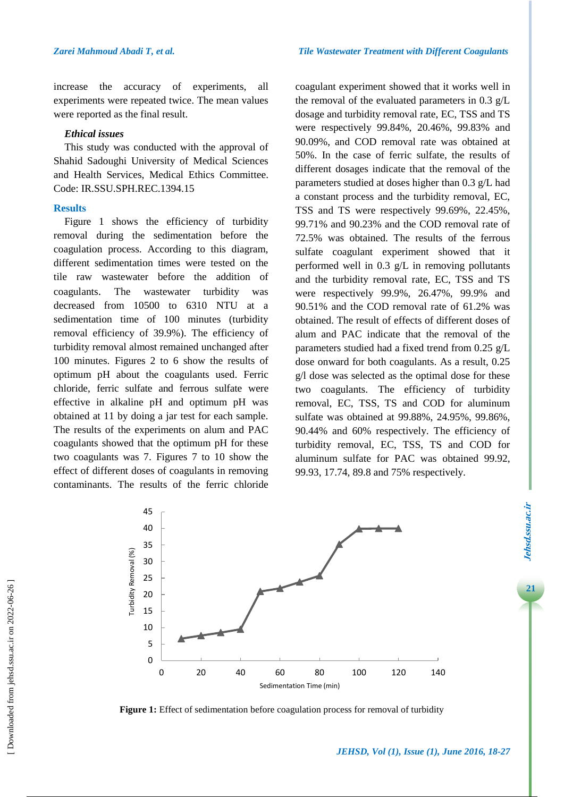increase the accuracy of experiments, all experiments were repeated twice. The mean values were reported as the final result.

## *Ethical issues*

This study was conducted with the approval of Shahid Sadoughi University of Medical Sciences and Health Services, Medical Ethics Committee. Code: IR.SSU.SPH.REC.1394.15

#### **Results**

Figure 1 shows the efficiency of turbidity removal during the sedimentation before the coagulation process. According to this diagram, different sedimentation times were tested on the tile raw wastewater before the addition of coagulants. The wastewater turbidity was decreased from 10500 to 6310 NTU at a sedimentation time of 100 minutes (turbidity removal efficiency of 39.9%). The efficiency of turbidity removal almost remained unchanged after 100 minutes. Figures 2 to 6 show the results of optimum pH about the coagulants used. Ferric chloride, ferric sulfate and ferrous sulfate were effective in alkaline pH and optimum pH was obtained at 11 by doing a jar test for each sample. The results of the experiments on alum and PAC coagulants showed that the optimum pH for these two coagulants was 7. Figures 7 to 10 show the effect of different doses of coagulants in removing contaminants. The results of the ferric chloride coagulant experiment showed that it works well in the removal of the evaluated parameters in 0.3 g/L dosage and turbidity removal rate, EC, TSS and TS were respectively 99.84%, 20.46%, 99.83% and 90.09%, and COD removal rate was obtained at 50%. In the case of ferric sulfate, the results of different dosages indicate that the removal of the parameters studied at doses higher than 0.3 g/L had a constant process and the turbidity removal, EC, TSS and TS were respectively 99.69%, 22.45%, 99.71% and 90.23% and the COD removal rate of 72.5% was obtained. The results of the ferrous sulfate coagulant experiment showed that it performed well in 0.3 g/L in removing pollutants and the turbidity removal rate, EC, TSS and TS were respectively 99.9%, 26.47%, 99.9% and 90.51% and the COD removal rate of 61.2% was obtained. The result of effects of different doses of alum and PAC indicate that the removal of the parameters studied had a fixed trend from 0.25 g/L dose onward for both coagulants. As a result, 0.25 g/l dose was selected as the optimal dose for these two coagulants. The efficiency of turbidity removal, EC, TSS, TS and COD for aluminum sulfate was obtained at 99.88%, 24.95%, 99.86%, 90.44% and 60% respectively. The efficiency of turbidity removal, EC, TSS, TS and COD for aluminum sulfate for PAC was obtained 99.92, 99.93, 17.74, 89.8 and 75% respectively.



Figure 1: Effect of sedimentation before coagulation process for removal of turbidity

**21Jehsd.ssu.ac.ir**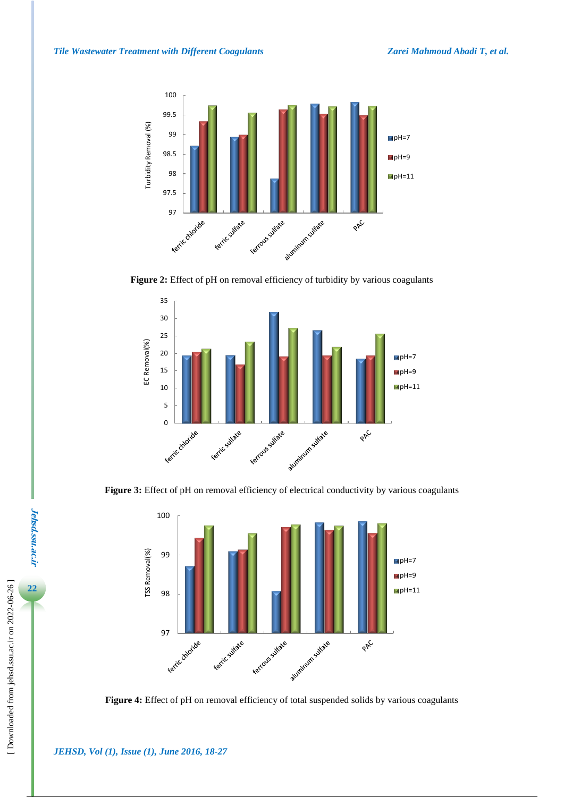

**Figure 2:** Effect of pH on removal efficiency of turbidity by various coagulants



Figure 3: Effect of pH on removal efficiency of electrical conductivity by various coagulants



**Figure 4:** Effect of pH on removal efficiency of total suspended solids by various coagulants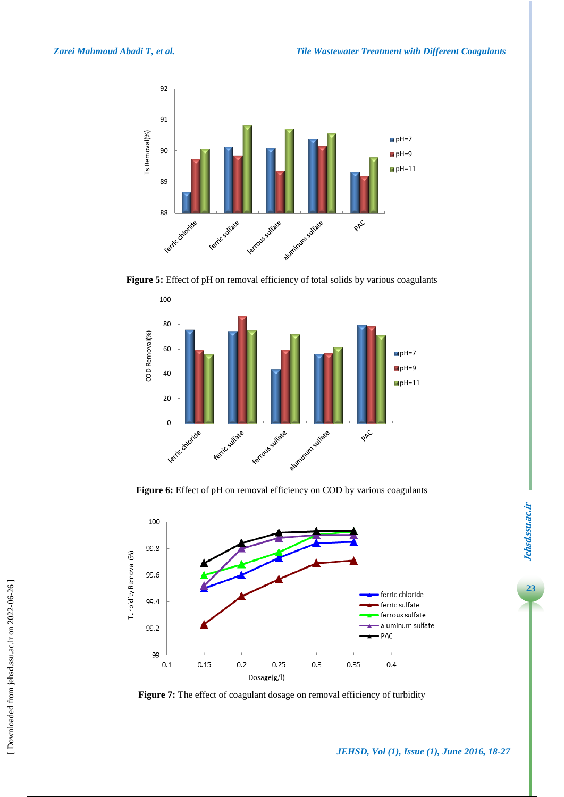

**Figure 5:** Effect of pH on removal efficiency of total solids by various coagulants



Figure 6: Effect of pH on removal efficiency on COD by various coagulants



Figure 7: The effect of coagulant dosage on removal efficiency of turbidity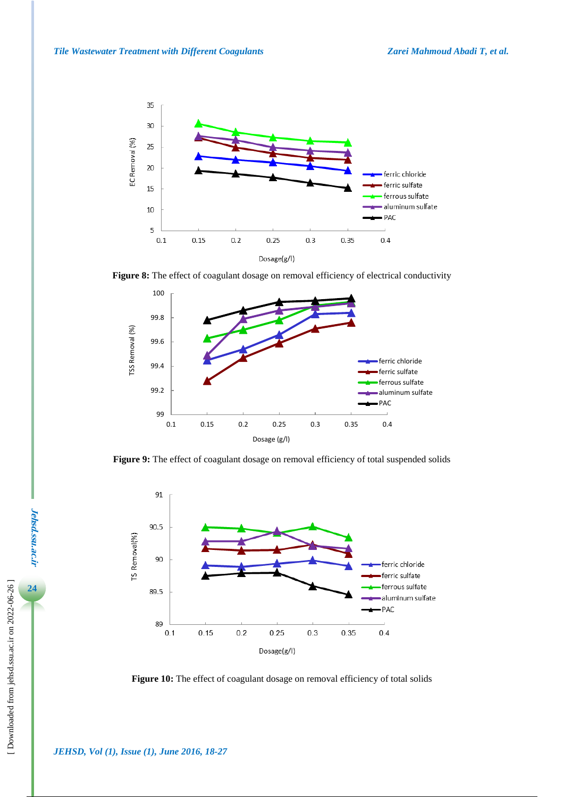

**Figure 8:** The effect of coagulant dosage on removal efficiency of electrical conductivity



**Figure 9:** The effect of coagulant dosage on removal efficiency of total suspended solids



Figure 10: The effect of coagulant dosage on removal efficiency of total solids

**Jehsd.ssu.ac.ir**

**Jehsd.ssu.ac.ir**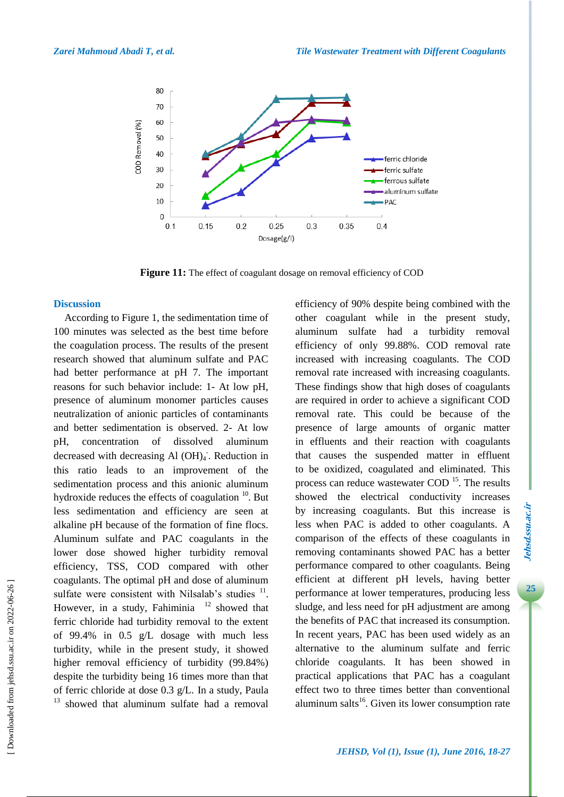

Figure 11: The effect of coagulant dosage on removal efficiency of COD

#### **Discussion**

According to Figure 1, the sedimentation time of 100 minutes was selected as the best time before the coagulation process. The results of the present research showed that aluminum sulfate and PAC had better performance at pH 7. The important reasons for such behavior include: 1- At low pH, presence of aluminum monomer particles causes neutralization of anionic particles of contaminants and better sedimentation is observed. 2- At low pH, concentration of dissolved aluminum decreased with decreasing Al (OH)<sub>4</sub>. Reduction in this ratio leads to an improvement of the sedimentation process and this anionic aluminum hydroxide reduces the effects of coagulation  $10$ . But less sedimentation and efficiency are seen at alkaline pH because of the formation of fine flocs. Aluminum sulfate and PAC coagulants in the lower dose showed higher turbidity removal efficiency, TSS, COD compared with other coagulants. The optimal pH and dose of aluminum sulfate were consistent with Nilsalab's studies  $11$ . However, in a study, Fahiminia  $12$  showed that ferric chloride had turbidity removal to the extent of 99.4% in 0.5 g/L dosage with much less turbidity, while in the present study, it showed higher removal efficiency of turbidity (99.84%) despite the turbidity being 16 times more than that of ferric chloride at dose 0.3 g/L. In a study, Paula  $13$  showed that aluminum sulfate had a removal

efficiency of 90% despite being combined with the other coagulant while in the present study, aluminum sulfate had a turbidity removal efficiency of only 99.88%. COD removal rate increased with increasing coagulants. The COD removal rate increased with increasing coagulants. These findings show that high doses of coagulants are required in order to achieve a significant COD removal rate. This could be because of the presence of large amounts of organic matter in effluents and their reaction with coagulants that causes the suspended matter in effluent to be oxidized, coagulated and eliminated. This process can reduce wastewater COD<sup>15</sup>. The results showed the electrical conductivity increases by increasing coagulants. But this increase is less when PAC is added to other coagulants. A comparison of the effects of these coagulants in removing contaminants showed PAC has a better performance compared to other coagulants. Being efficient at different pH levels, having better performance at lower temperatures, producing less sludge, and less need for pH adjustment are among the benefits of PAC that increased its consumption. In recent years, PAC has been used widely as an alternative to the aluminum sulfate and ferric chloride coagulants. It has been showed in practical applications that PAC has a coagulant effect two to three times better than conventional aluminum salts $^{16}$ . Given its lower consumption rate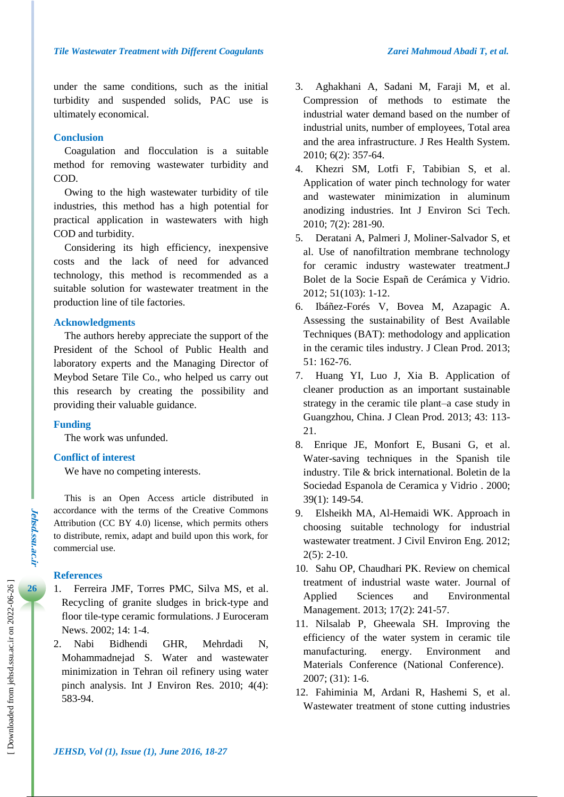under the same conditions, such as the initial turbidity and suspended solids, PAC use is ultimately economical.

## **Conclusion**

Coagulation and flocculation is a suitable method for removing wastewater turbidity and COD.

Owing to the high wastewater turbidity of tile industries, this method has a high potential for practical application in wastewaters with high COD and turbidity.

Considering its high efficiency, inexpensive costs and the lack of need for advanced technology, this method is recommended as a suitable solution for wastewater treatment in the production line of tile factories.

#### **Acknowledgments**

The authors hereby appreciate the support of the President of the School of Public Health and laboratory experts and the Managing Director of Meybod Setare Tile Co., who helped us carry out this research by creating the possibility and providing their valuable guidance.

#### **Funding**

The work was unfunded.

#### **Conflict of interest**

We have no competing interests.

This is an Open Access article distributed in accordance with the terms of the Creative Commons Attribution (CC BY 4.0) license, which permits others to distribute, remix, adapt and build upon this work, for commercial use.

# **References**

- 1. Ferreira JMF, Torres PMC, Silva MS, et al. Recycling of granite sludges in brick-type and floor tile-type ceramic formulations. J Euroceram News. 2002; 14: 1-4.
- 2. Nabi Bidhendi GHR, Mehrdadi N, Mohammadnejad S. Water and wastewater minimization in Tehran oil refinery using water pinch analysis. Int J Environ Res. 2010; 4(4): 583-94.
- 3. Aghakhani A, Sadani M, Faraji M, et al. Compression of methods to estimate the industrial water demand based on the number of industrial units, number of employees, Total area and the area infrastructure. J Res Health System. 2010; 6(2): 357-64.
- 4. Khezri SM, Lotfi F, Tabibian S, et al. Application of water pinch technology for water and wastewater minimization in aluminum anodizing industries. Int J Environ Sci Tech. 2010; 7(2): 281-90.
- 5. Deratani A, Palmeri J, Moliner-Salvador S, et al. Use of nanofiltration membrane technology for ceramic industry wastewater treatment.J Bolet de la Socie Españ de Cerámica y Vidrio. 2012; 51(103): 1-12.
- 6. Ibáñez-Forés V, Bovea M, Azapagic A. Assessing the sustainability of Best Available Techniques (BAT): methodology and application in the ceramic tiles industry. J Clean Prod. 2013; 51: 162-76.
- 7. Huang YI, Luo J, Xia B. Application of cleaner production as an important sustainable strategy in the ceramic tile plant–a case study in Guangzhou, China. J Clean Prod. 2013; 43: 113- 21.
- 8. Enrique JE, Monfort E, Busani G, et al. Water-saving techniques in the Spanish tile industry. Tile & brick international. Boletin de la Sociedad Espanola de Ceramica y Vidrio . 2000; 39(1): 149-54.
- 9. Elsheikh MA, Al-Hemaidi WK. Approach in choosing suitable technology for industrial wastewater treatment. J Civil Environ Eng. 2012;  $2(5)$ : 2-10.
- 10. Sahu OP, Chaudhari PK. Review on chemical treatment of industrial waste water. Journal of Applied Sciences and Environmental Management. 2013; 17(2): 241-57.
- 11. Nilsalab P, Gheewala SH. Improving the efficiency of the water system in ceramic tile manufacturing. energy. Environment and Materials Conference (National Conference). 2007; (31): 1-6.
- 12. Fahiminia M, Ardani R, Hashemi S, et al. Wastewater treatment of stone cutting industries

**Jehsd.ssu.ac.ir**

*Jehsd.SSu.ac.Ir*